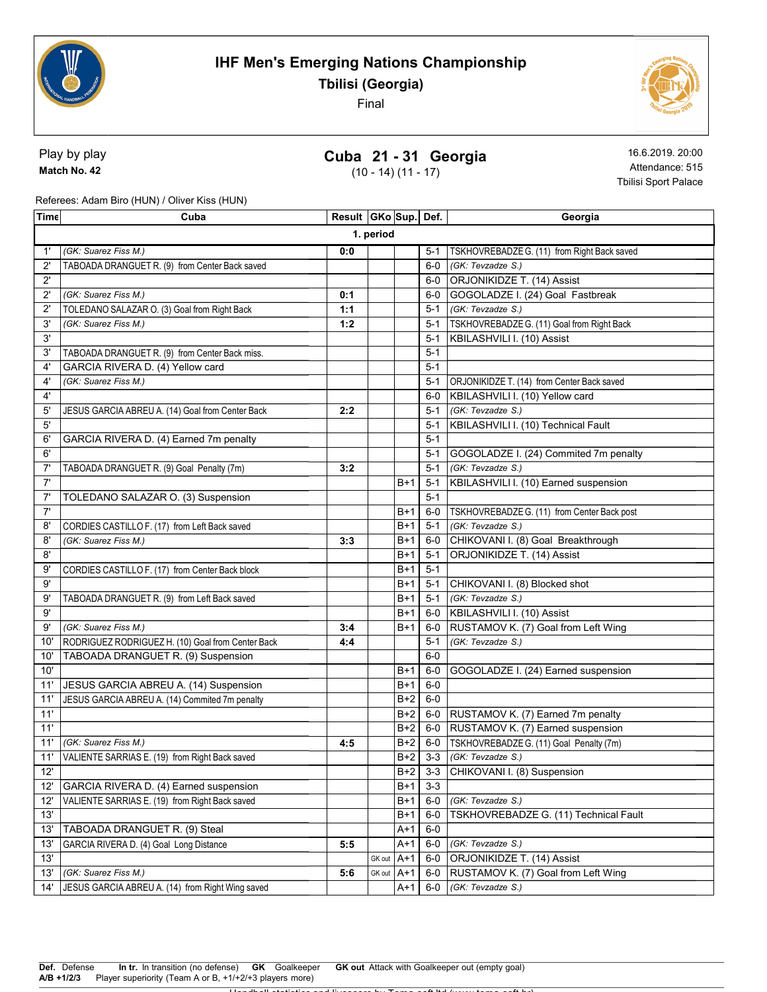



Play by play Match No. 42

## Cuba 21 - 31 Georgia

(10 - 14) (11 - 17)

16.6.2019. 20:00 Attendance: 515 Tbilisi Sport Palace

Referees: Adam Biro (HUN) / Oliver Kiss (HUN)

| Time         | Cuba                                              | Result   GKo   Sup   Def. |        |       |         | Georgia                                     |  |  |
|--------------|---------------------------------------------------|---------------------------|--------|-------|---------|---------------------------------------------|--|--|
|              | 1. period                                         |                           |        |       |         |                                             |  |  |
| 1'           | (GK: Suarez Fiss M.)                              | 0:0                       |        |       | $5-1$   | TSKHOVREBADZE G. (11) from Right Back saved |  |  |
| $2^{\prime}$ | TABOADA DRANGUET R. (9) from Center Back saved    |                           |        |       | $6-0$   | (GK: Tevzadze S.)                           |  |  |
| $2^{\prime}$ |                                                   |                           |        |       | $6-0$   | ORJONIKIDZE T. (14) Assist                  |  |  |
| $2^{\prime}$ | (GK: Suarez Fiss M.)                              | 0:1                       |        |       | 6-0     | GOGOLADZE I. (24) Goal Fastbreak            |  |  |
| $2^{\prime}$ | TOLEDANO SALAZAR O. (3) Goal from Right Back      | 1:1                       |        |       | $5-1$   | (GK: Tevzadze S.)                           |  |  |
| 3'           | (GK: Suarez Fiss M.)                              | 1:2                       |        |       | $5-1$   | TSKHOVREBADZE G. (11) Goal from Right Back  |  |  |
| 3'           |                                                   |                           |        |       | $5 - 1$ | KBILASHVILI I. (10) Assist                  |  |  |
| 3'           | TABOADA DRANGUET R. (9) from Center Back miss.    |                           |        |       | $5 - 1$ |                                             |  |  |
| 4'           | GARCIA RIVERA D. (4) Yellow card                  |                           |        |       | $5-1$   |                                             |  |  |
| 4'           | (GK: Suarez Fiss M.)                              |                           |        |       | $5-1$   | ORJONIKIDZE T. (14) from Center Back saved  |  |  |
| $4^{\circ}$  |                                                   |                           |        |       | 6-0     | KBILASHVILI I. (10) Yellow card             |  |  |
| 5'           | JESUS GARCIA ABREU A. (14) Goal from Center Back  | 2:2                       |        |       | $5 - 1$ | (GK: Tevzadze S.)                           |  |  |
| 5'           |                                                   |                           |        |       | $5 - 1$ | KBILASHVILI I. (10) Technical Fault         |  |  |
| 6'           | GARCIA RIVERA D. (4) Earned 7m penalty            |                           |        |       | $5-1$   |                                             |  |  |
| 6'           |                                                   |                           |        |       | $5 - 1$ | GOGOLADZE I. (24) Commited 7m penalty       |  |  |
| 7'           | TABOADA DRANGUET R. (9) Goal Penalty (7m)         | 3:2                       |        |       | $5-1$   | (GK: Tevzadze S.)                           |  |  |
| 7'           |                                                   |                           |        | $B+1$ | $5 - 1$ | KBILASHVILI I. (10) Earned suspension       |  |  |
| 7'           | TOLEDANO SALAZAR O. (3) Suspension                |                           |        |       | $5 - 1$ |                                             |  |  |
| 7'           |                                                   |                           |        | $B+1$ | $6-0$   | TSKHOVREBADZE G. (11) from Center Back post |  |  |
| 8'           | CORDIES CASTILLO F. (17) from Left Back saved     |                           |        | $B+1$ | $5 - 1$ | (GK: Tevzadze S.)                           |  |  |
| 8'           | (GK: Suarez Fiss M.)                              | 3:3                       |        | $B+1$ | $6-0$   | CHIKOVANI I. (8) Goal Breakthrough          |  |  |
| 8'           |                                                   |                           |        | $B+1$ | $5 - 1$ | ORJONIKIDZE T. (14) Assist                  |  |  |
| 9'           | CORDIES CASTILLO F. (17) from Center Back block   |                           |        | $B+1$ | $5 - 1$ |                                             |  |  |
| 9'           |                                                   |                           |        | $B+1$ | $5 - 1$ | CHIKOVANI I. (8) Blocked shot               |  |  |
| 9'           | TABOADA DRANGUET R. (9) from Left Back saved      |                           |        | $B+1$ | $5 - 1$ | (GK: Tevzadze S.)                           |  |  |
| 9'           |                                                   |                           |        | $B+1$ | 6-0     | KBILASHVILI I. (10) Assist                  |  |  |
| 9'           | (GK: Suarez Fiss M.)                              | 3:4                       |        | $B+1$ | 6-0     | RUSTAMOV K. (7) Goal from Left Wing         |  |  |
| 10'          | RODRIGUEZ RODRIGUEZ H. (10) Goal from Center Back | 4:4                       |        |       | $5 - 1$ | (GK: Tevzadze S.)                           |  |  |
| 10'          | TABOADA DRANGUET R. (9) Suspension                |                           |        |       | $6-0$   |                                             |  |  |
| 10'          |                                                   |                           |        | $B+1$ | $6-0$   | GOGOLADZE I. (24) Earned suspension         |  |  |
| 11'          | JESUS GARCIA ABREU A. (14) Suspension             |                           |        | $B+1$ | $6-0$   |                                             |  |  |
| 11'          | JESUS GARCIA ABREU A. (14) Commited 7m penalty    |                           |        | $B+2$ | $6-0$   |                                             |  |  |
| 11'          |                                                   |                           |        | $B+2$ | $6-0$   | RUSTAMOV K. (7) Earned 7m penalty           |  |  |
| 11'          |                                                   |                           |        | $B+2$ | $6-0$   | RUSTAMOV K. (7) Earned suspension           |  |  |
| 11'          | (GK: Suarez Fiss M.)                              | 4:5                       |        | $B+2$ | 6-0     | TSKHOVREBADZE G. (11) Goal Penalty (7m)     |  |  |
| 11'          | VALIENTE SARRIAS E. (19) from Right Back saved    |                           |        | $B+2$ | $3 - 3$ | (GK: Tevzadze S.)                           |  |  |
| 12'          |                                                   |                           |        | $B+2$ |         | 3-3 CHIKOVANI I. (8) Suspension             |  |  |
| 12'          | <b>GARCIA RIVERA D. (4) Earned suspension</b>     |                           |        | $B+1$ | $3 - 3$ |                                             |  |  |
| 12'          | VALIENTE SARRIAS E. (19) from Right Back saved    |                           |        | $B+1$ | $6-0$   | (GK: Tevzadze S.)                           |  |  |
| 13'          |                                                   |                           |        | $B+1$ | $6-0$   | TSKHOVREBADZE G. (11) Technical Fault       |  |  |
| 13'          | TABOADA DRANGUET R. (9) Steal                     |                           |        | $A+1$ | $6-0$   |                                             |  |  |
| 13'          | GARCIA RIVERA D. (4) Goal Long Distance           | 5:5                       |        | $A+1$ | $6-0$   | (GK: Tevzadze S.)                           |  |  |
| 13'          |                                                   |                           | GK out | $A+1$ | $6-0$   | ORJONIKIDZE T. (14) Assist                  |  |  |
| 13'          | (GK: Suarez Fiss M.)                              | 5:6                       | GK out | $A+1$ | $6-0$   | RUSTAMOV K. (7) Goal from Left Wing         |  |  |
| 14'          | JESUS GARCIA ABREU A. (14) from Right Wing saved  |                           |        | A+1   | $6-0$   | (GK: Tevzadze S.)                           |  |  |
|              |                                                   |                           |        |       |         |                                             |  |  |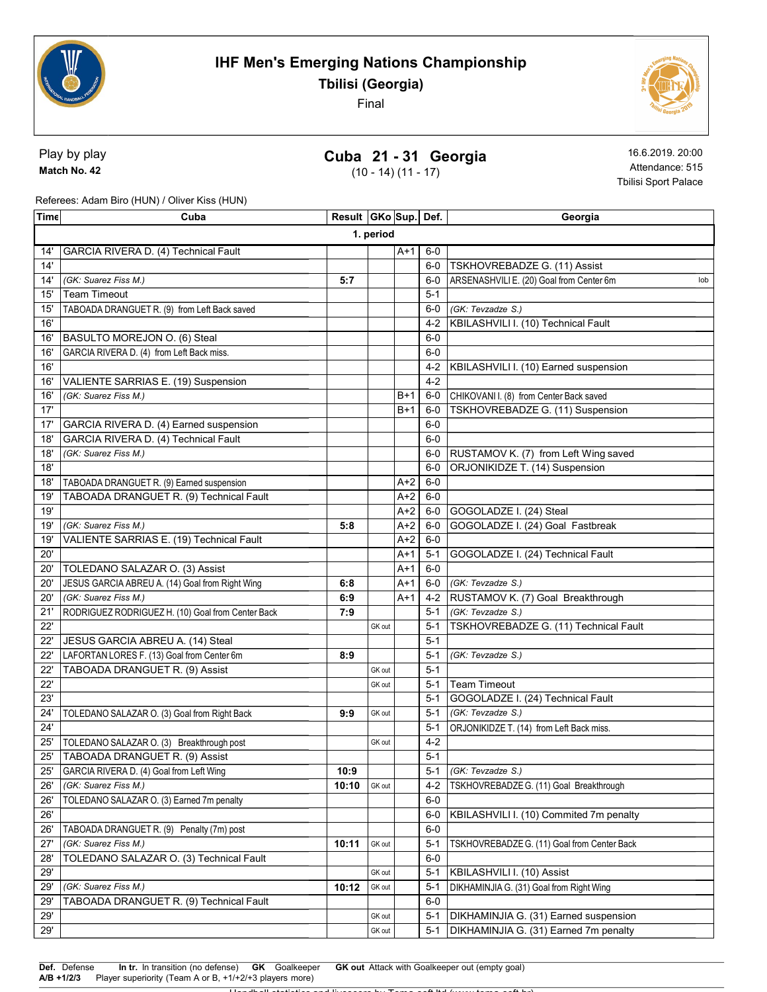



Play by play Match No. 42

## Cuba 21 - 31 Georgia

(10 - 14) (11 - 17)

16.6.2019. 20:00 Attendance: 515 Tbilisi Sport Palace

Referees: Adam Biro (HUN) / Oliver Kiss (HUN)

| Time | Cuba                                              | Result   GKo   Sup   Def. |        |       |         | Georgia                                         |  |
|------|---------------------------------------------------|---------------------------|--------|-------|---------|-------------------------------------------------|--|
|      | 1. period                                         |                           |        |       |         |                                                 |  |
| 14'  | GARCIA RIVERA D. (4) Technical Fault              |                           |        | $A+1$ | $6-0$   |                                                 |  |
| 14'  |                                                   |                           |        |       | $6-0$   | TSKHOVREBADZE G. (11) Assist                    |  |
| 14'  | (GK: Suarez Fiss M.)                              | 5:7                       |        |       | $6-0$   | ARSENASHVILI E. (20) Goal from Center 6m<br>lob |  |
| 15'  | <b>Team Timeout</b>                               |                           |        |       | $5 - 1$ |                                                 |  |
| 15'  | TABOADA DRANGUET R. (9) from Left Back saved      |                           |        |       | $6-0$   | (GK: Tevzadze S.)                               |  |
| 16'  |                                                   |                           |        |       | $4 - 2$ | KBILASHVILI I. (10) Technical Fault             |  |
| 16'  | BASULTO MOREJON O. (6) Steal                      |                           |        |       | $6-0$   |                                                 |  |
| 16'  | GARCIA RIVERA D. (4) from Left Back miss.         |                           |        |       | $6-0$   |                                                 |  |
| 16'  |                                                   |                           |        |       | $4 - 2$ | KBILASHVILI I. (10) Earned suspension           |  |
| 16'  | VALIENTE SARRIAS E. (19) Suspension               |                           |        |       | $4 - 2$ |                                                 |  |
| 16'  | (GK: Suarez Fiss M.)                              |                           |        | $B+1$ | 6-0     | CHIKOVANI I. (8) from Center Back saved         |  |
| 17'  |                                                   |                           |        | $B+1$ | $6-0$   | TSKHOVREBADZE G. (11) Suspension                |  |
| 17'  | GARCIA RIVERA D. (4) Earned suspension            |                           |        |       | $6-0$   |                                                 |  |
| 18'  | GARCIA RIVERA D. (4) Technical Fault              |                           |        |       | $6-0$   |                                                 |  |
| 18'  | (GK: Suarez Fiss M.)                              |                           |        |       | $6-0$   | RUSTAMOV K. (7) from Left Wing saved            |  |
| 18'  |                                                   |                           |        |       | $6-0$   | ORJONIKIDZE T. (14) Suspension                  |  |
| 18'  | TABOADA DRANGUET R. (9) Earned suspension         |                           |        | A+2   | $6-0$   |                                                 |  |
| 19'  | TABOADA DRANGUET R. (9) Technical Fault           |                           |        | $A+2$ | $6-0$   |                                                 |  |
| 19'  |                                                   |                           |        | $A+2$ | $6-0$   | GOGOLADZE I. (24) Steal                         |  |
| 19'  | (GK: Suarez Fiss M.)                              | 5:8                       |        | $A+2$ | $6-0$   | GOGOLADZE I. (24) Goal Fastbreak                |  |
| 19'  | VALIENTE SARRIAS E. (19) Technical Fault          |                           |        | $A+2$ | $6-0$   |                                                 |  |
| 20'  |                                                   |                           |        | A+1   | $5 - 1$ | GOGOLADZE I. (24) Technical Fault               |  |
| 20'  | TOLEDANO SALAZAR O. (3) Assist                    |                           |        | A+1   | $6-0$   |                                                 |  |
| 20'  | JESUS GARCIA ABREU A. (14) Goal from Right Wing   | 6:8                       |        | A+1   | 6-0     | (GK: Tevzadze S.)                               |  |
| 20'  | (GK: Suarez Fiss M.)                              | 6:9                       |        | A+1   | 4-2     | RUSTAMOV K. (7) Goal Breakthrough               |  |
| 21'  | RODRIGUEZ RODRIGUEZ H. (10) Goal from Center Back | 7:9                       |        |       | $5 - 1$ | (GK: Tevzadze S.)                               |  |
| 22'  |                                                   |                           | GK out |       | $5 - 1$ | TSKHOVREBADZE G. (11) Technical Fault           |  |
| 22'  | JESUS GARCIA ABREU A. (14) Steal                  |                           |        |       | $5 - 1$ |                                                 |  |
| 22'  | LAFORTAN LORES F. (13) Goal from Center 6m        | 8:9                       |        |       | $5 - 1$ | (GK: Tevzadze S.)                               |  |
| 22'  | TABOADA DRANGUET R. (9) Assist                    |                           | GK out |       | $5 - 1$ |                                                 |  |
| 22'  |                                                   |                           | GK out |       | $5 - 1$ | <b>Team Timeout</b>                             |  |
| 23'  |                                                   |                           |        |       | $5 - 1$ | GOGOLADZE I. (24) Technical Fault               |  |
| 24'  | TOLEDANO SALAZAR O. (3) Goal from Right Back      | 9:9                       | GK out |       | $5 - 1$ | (GK: Tevzadze S.)                               |  |
| 24'  |                                                   |                           |        |       | $5 - 1$ | ORJONIKIDZE T. (14) from Left Back miss.        |  |
| 25'  | TOLEDANO SALAZAR O. (3) Breakthrough post         |                           | GK out |       | $4 - 2$ |                                                 |  |
| 25'  | TABOADA DRANGUET R. (9) Assist                    |                           |        |       | $5 - 1$ |                                                 |  |
| 25'  | GARCIA RIVERA D. (4) Goal from Left Wing          | 10:9                      |        |       |         | 5-1 (GK: Tevzadze S.)                           |  |
| 26'  | (GK: Suarez Fiss M.)                              | 10:10                     | GK out |       | $4 - 2$ | TSKHOVREBADZE G. (11) Goal Breakthrough         |  |
| 26'  | TOLEDANO SALAZAR O. (3) Earned 7m penalty         |                           |        |       | $6-0$   |                                                 |  |
| 26'  |                                                   |                           |        |       | $6-0$   | KBILASHVILI I. (10) Commited 7m penalty         |  |
| 26'  | TABOADA DRANGUET R. (9) Penalty (7m) post         |                           |        |       | $6-0$   |                                                 |  |
| 27'  | (GK: Suarez Fiss M.)                              | 10:11                     | GK out |       | $5 - 1$ | TSKHOVREBADZE G. (11) Goal from Center Back     |  |
| 28'  | TOLEDANO SALAZAR O. (3) Technical Fault           |                           |        |       | $6-0$   |                                                 |  |
| 29'  |                                                   |                           | GK out |       | $5 - 1$ | KBILASHVILI I. (10) Assist                      |  |
| 29'  | (GK: Suarez Fiss M.)                              | 10:12                     | GK out |       | $5 - 1$ | DIKHAMINJIA G. (31) Goal from Right Wing        |  |
| 29'  | TABOADA DRANGUET R. (9) Technical Fault           |                           |        |       | $6-0$   |                                                 |  |
| 29'  |                                                   |                           | GK out |       | $5-1$   | DIKHAMINJIA G. (31) Earned suspension           |  |
| 29'  |                                                   |                           | GK out |       | $5 - 1$ | DIKHAMINJIA G. (31) Earned 7m penalty           |  |

Def. Defense In tr. In transition (no defense) GK Goalkeeper GK out Attack with Goalkeeper out (empty goal) A/B +1/2/3 Player superiority (Team A or B, +1/+2/+3 players more)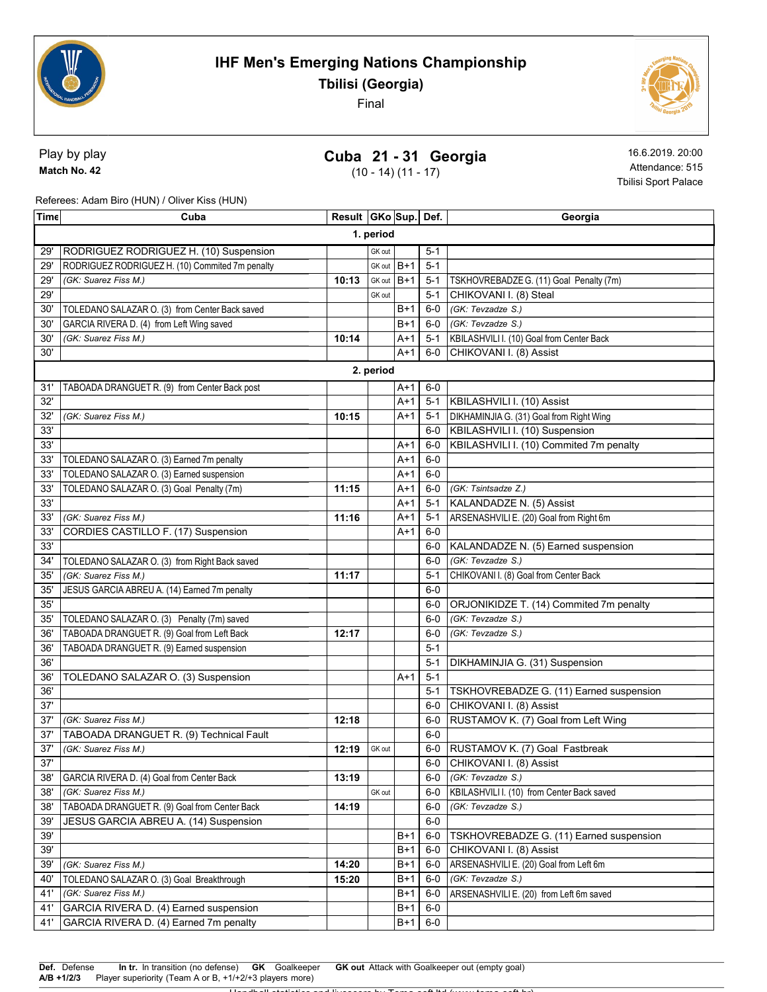



#### Play by play Match No. 42

# Cuba 21 - 31 Georgia

(10 - 14) (11 - 17)

16.6.2019. 20:00 Attendance: 515 Tbilisi Sport Palace

Referees: Adam Biro (HUN) / Oliver Kiss (HUN)

| Time      | Cuba                                            | Result   GKo Sup   Def. |            |       |         | Georgia                                    |  |
|-----------|-------------------------------------------------|-------------------------|------------|-------|---------|--------------------------------------------|--|
| 1. period |                                                 |                         |            |       |         |                                            |  |
| 29        | RODRIGUEZ RODRIGUEZ H. (10) Suspension          |                         | GK out     |       | $5 - 1$ |                                            |  |
| 29'       | RODRIGUEZ RODRIGUEZ H. (10) Commited 7m penalty |                         | GK out B+1 |       | $5 - 1$ |                                            |  |
| 29'       | (GK: Suarez Fiss M.)                            | 10:13                   | GK out     | $B+1$ | 5-1     | TSKHOVREBADZE G. (11) Goal Penalty (7m)    |  |
| 29'       |                                                 |                         | GK out     |       | $5 - 1$ | CHIKOVANI I. (8) Steal                     |  |
| 30'       | TOLEDANO SALAZAR O. (3) from Center Back saved  |                         |            | $B+1$ | $6-0$   | (GK: Tevzadze S.)                          |  |
| 30'       | GARCIA RIVERA D. (4) from Left Wing saved       |                         |            | $B+1$ | $6-0$   | (GK: Tevzadze S.)                          |  |
| 30'       | (GK: Suarez Fiss M.)                            | 10:14                   |            | A+1   | $5-1$   | KBILASHVILI I. (10) Goal from Center Back  |  |
| 30'       |                                                 |                         |            | $A+1$ | $6-0$   | CHIKOVANI I. (8) Assist                    |  |
|           |                                                 |                         | 2. period  |       |         |                                            |  |
| 31'       | TABOADA DRANGUET R. (9) from Center Back post   |                         |            | $A+1$ | $6-0$   |                                            |  |
| 32'       |                                                 |                         |            | $A+1$ | $5 - 1$ | KBILASHVILI I. (10) Assist                 |  |
| 32'       | (GK: Suarez Fiss M.)                            | 10:15                   |            | $A+1$ | $5-1$   | DIKHAMINJIA G. (31) Goal from Right Wing   |  |
| 33'       |                                                 |                         |            |       | $6-0$   | KBILASHVILI I. (10) Suspension             |  |
| 33'       |                                                 |                         |            | $A+1$ | 6-0     | KBILASHVILI I. (10) Commited 7m penalty    |  |
| 33'       | TOLEDANO SALAZAR O. (3) Earned 7m penalty       |                         |            | A+1   | $6-0$   |                                            |  |
| 33'       | TOLEDANO SALAZAR O. (3) Earned suspension       |                         |            | $A+1$ | $6-0$   |                                            |  |
| 33'       | TOLEDANO SALAZAR O. (3) Goal Penalty (7m)       | 11:15                   |            | $A+1$ | $6-0$   | (GK: Tsintsadze Z.)                        |  |
| 33'       |                                                 |                         |            | $A+1$ | $5 - 1$ | KALANDADZE N. (5) Assist                   |  |
| 33'       | (GK: Suarez Fiss M.)                            | 11:16                   |            | $A+1$ | $5 - 1$ | ARSENASHVILI E. (20) Goal from Right 6m    |  |
| 33'       | CORDIES CASTILLO F. (17) Suspension             |                         |            | $A+1$ | $6-0$   |                                            |  |
| 33'       |                                                 |                         |            |       | 6-0     | KALANDADZE N. (5) Earned suspension        |  |
| 34'       | TOLEDANO SALAZAR O. (3) from Right Back saved   |                         |            |       | $6-0$   | (GK: Tevzadze S.)                          |  |
| 35'       | (GK: Suarez Fiss M.)                            | 11:17                   |            |       | $5 - 1$ | CHIKOVANI I. (8) Goal from Center Back     |  |
| 35        | JESUS GARCIA ABREU A. (14) Earned 7m penalty    |                         |            |       | $6-0$   |                                            |  |
| 35'       |                                                 |                         |            |       | $6-0$   | ORJONIKIDZE T. (14) Commited 7m penalty    |  |
| 35'       | TOLEDANO SALAZAR O. (3) Penalty (7m) saved      |                         |            |       | $6-0$   | (GK: Tevzadze S.)                          |  |
| 36'       | TABOADA DRANGUET R. (9) Goal from Left Back     | 12:17                   |            |       | 6-0     | (GK: Tevzadze S.)                          |  |
| 36'       | TABOADA DRANGUET R. (9) Earned suspension       |                         |            |       | $5 - 1$ |                                            |  |
| 36'       |                                                 |                         |            |       | $5 - 1$ | DIKHAMINJIA G. (31) Suspension             |  |
| 36'       | TOLEDANO SALAZAR O. (3) Suspension              |                         |            | $A+1$ | $5 - 1$ |                                            |  |
| 36'       |                                                 |                         |            |       | $5 - 1$ | TSKHOVREBADZE G. (11) Earned suspension    |  |
| 37'       |                                                 |                         |            |       | $6-0$   | CHIKOVANI I. (8) Assist                    |  |
| 37'       | (GK: Suarez Fiss M.)                            | 12:18                   |            |       | $6-0$   | RUSTAMOV K. (7) Goal from Left Wing        |  |
| 37'       | TABOADA DRANGUET R. (9) Technical Fault         |                         |            |       | $6-0$   |                                            |  |
| 37'       | (GK: Suarez Fiss M.)                            | 12:19                   | GK out     |       | $6-0$   | RUSTAMOV K. (7) Goal Fastbreak             |  |
| 37'       |                                                 |                         |            |       | 6-0     | CHIKOVANI I. (8) Assist                    |  |
| 38'       | GARCIA RIVERA D. (4) Goal from Center Back      | 13:19                   |            |       | 6-0     | (GK: Tevzadze S.)                          |  |
| 38'       | (GK: Suarez Fiss M.)                            |                         | GK out     |       | $6-0$   | KBILASHVILI I. (10) from Center Back saved |  |
| 38'       | TABOADA DRANGUET R. (9) Goal from Center Back   | 14:19                   |            |       | 6-0     | (GK: Tevzadze S.)                          |  |
| 39'       | JESUS GARCIA ABREU A. (14) Suspension           |                         |            |       | $6-0$   |                                            |  |
| 39'       |                                                 |                         |            | $B+1$ | 6-0     | TSKHOVREBADZE G. (11) Earned suspension    |  |
| 39'       |                                                 |                         |            | $B+1$ | $6-0$   | CHIKOVANI I. (8) Assist                    |  |
| 39'       | (GK: Suarez Fiss M.)                            | 14:20                   |            | $B+1$ | 6-0     | ARSENASHVILI E. (20) Goal from Left 6m     |  |
| 40'       | TOLEDANO SALAZAR O. (3) Goal Breakthrough       | 15:20                   |            | $B+1$ | $6-0$   | (GK: Tevzadze S.)                          |  |
| 41'       | (GK: Suarez Fiss M.)                            |                         |            | $B+1$ | $6-0$   | ARSENASHVILI E. (20) from Left 6m saved    |  |
| 41'       | GARCIA RIVERA D. (4) Earned suspension          |                         |            | $B+1$ | $6-0$   |                                            |  |
| 41'       | GARCIA RIVERA D. (4) Earned 7m penalty          |                         |            | $B+1$ | $6-0$   |                                            |  |
|           |                                                 |                         |            |       |         |                                            |  |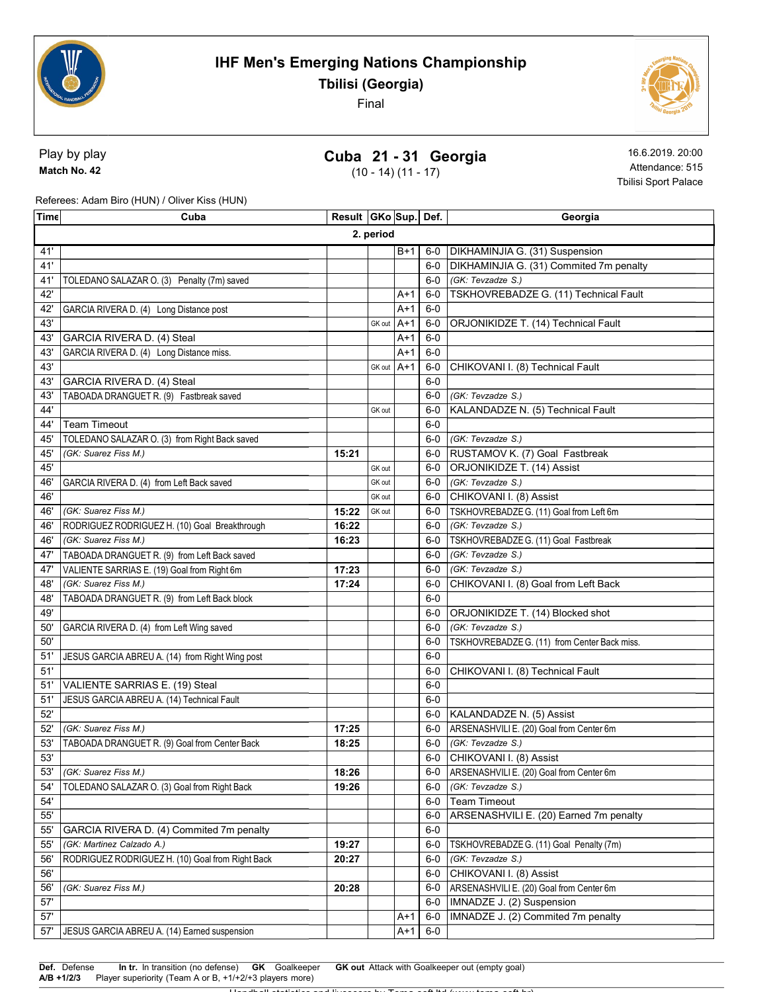



Play by play Match No. 42

## Cuba 21 - 31 Georgia

(10 - 14) (11 - 17)

16.6.2019. 20:00 Attendance: 515 Tbilisi Sport Palace

Referees: Adam Biro (HUN) / Oliver Kiss (HUN)

| Time      | Cuba                                             | Result   GKo   Sup   Def. |            |       |       | Georgia                                        |  |
|-----------|--------------------------------------------------|---------------------------|------------|-------|-------|------------------------------------------------|--|
| 2. period |                                                  |                           |            |       |       |                                                |  |
| 41'       |                                                  |                           |            | $B+1$ | 6-0   | DIKHAMINJIA G. (31) Suspension                 |  |
| 41'       |                                                  |                           |            |       | $6-0$ | DIKHAMINJIA G. (31) Commited 7m penalty        |  |
| 41'       | TOLEDANO SALAZAR O. (3) Penalty (7m) saved       |                           |            |       | $6-0$ | (GK: Tevzadze S.)                              |  |
| 42'       |                                                  |                           |            | $A+1$ | $6-0$ | TSKHOVREBADZE G. (11) Technical Fault          |  |
| 42'       | GARCIA RIVERA D. (4) Long Distance post          |                           |            | A+1   | $6-0$ |                                                |  |
| 43'       |                                                  |                           | GK out     | $A+1$ | $6-0$ | ORJONIKIDZE T. (14) Technical Fault            |  |
| 43'       | GARCIA RIVERA D. (4) Steal                       |                           |            | $A+1$ | $6-0$ |                                                |  |
| 43        | GARCIA RIVERA D. (4) Long Distance miss.         |                           |            | A+1   | $6-0$ |                                                |  |
| 43'       |                                                  |                           | GK out A+1 |       | $6-0$ | CHIKOVANI I. (8) Technical Fault               |  |
| 43'       | GARCIA RIVERA D. (4) Steal                       |                           |            |       | $6-0$ |                                                |  |
| 43'       | TABOADA DRANGUET R. (9) Fastbreak saved          |                           |            |       | 6-0   | (GK: Tevzadze S.)                              |  |
| 44'       |                                                  |                           | GK out     |       | 6-0   | KALANDADZE N. (5) Technical Fault              |  |
| 44'       | <b>Team Timeout</b>                              |                           |            |       | $6-0$ |                                                |  |
| 45'       | TOLEDANO SALAZAR O. (3) from Right Back saved    |                           |            |       | 6-0   | (GK: Tevzadze S.)                              |  |
| 45'       | (GK: Suarez Fiss M.)                             | 15:21                     |            |       |       | 6-0 RUSTAMOV K. (7) Goal Fastbreak             |  |
| 45'       |                                                  |                           | GK out     |       | $6-0$ | ORJONIKIDZE T. (14) Assist                     |  |
| 46'       | GARCIA RIVERA D. (4) from Left Back saved        |                           | GK out     |       | $6-0$ | (GK: Tevzadze S.)                              |  |
| 46'       |                                                  |                           | GK out     |       | $6-0$ | CHIKOVANI I. (8) Assist                        |  |
| 46'       | (GK: Suarez Fiss M.)                             | 15:22                     | GK out     |       | $6-0$ | TSKHOVREBADZE G. (11) Goal from Left 6m        |  |
| 46'       | RODRIGUEZ RODRIGUEZ H. (10) Goal Breakthrough    | 16:22                     |            |       | 6-0   | (GK: Tevzadze S.)                              |  |
| 46'       | (GK: Suarez Fiss M.)                             | 16:23                     |            |       | 6-0   | TSKHOVREBADZE G. (11) Goal Fastbreak           |  |
| 47        | TABOADA DRANGUET R. (9) from Left Back saved     |                           |            |       | $6-0$ | (GK: Tevzadze S.)                              |  |
| 47        | VALIENTE SARRIAS E. (19) Goal from Right 6m      | 17:23                     |            |       | $6-0$ | (GK: Tevzadze S.)                              |  |
| 48'       | (GK: Suarez Fiss M.)                             | 17:24                     |            |       | 6-0   | CHIKOVANI I. (8) Goal from Left Back           |  |
| 48'       | TABOADA DRANGUET R. (9) from Left Back block     |                           |            |       | $6-0$ |                                                |  |
| 49'       |                                                  |                           |            |       | 6-0   | ORJONIKIDZE T. (14) Blocked shot               |  |
| 50'       | GARCIA RIVERA D. (4) from Left Wing saved        |                           |            |       | 6-0   | (GK: Tevzadze S.)                              |  |
| 50'       |                                                  |                           |            |       | $6-0$ | TSKHOVREBADZE G. (11) from Center Back miss.   |  |
| 51'       | JESUS GARCIA ABREU A. (14) from Right Wing post  |                           |            |       | $6-0$ |                                                |  |
| 51'       |                                                  |                           |            |       | $6-0$ | CHIKOVANI I. (8) Technical Fault               |  |
| 51'       | VALIENTE SARRIAS E. (19) Steal                   |                           |            |       | $6-0$ |                                                |  |
| 51'       | JESUS GARCIA ABREU A. (14) Technical Fault       |                           |            |       | $6-0$ |                                                |  |
| 52'       |                                                  |                           |            |       | $6-0$ | KALANDADZE N. (5) Assist                       |  |
| 52'       | (GK: Suarez Fiss M.)                             | 17:25                     |            |       | 6-0   | ARSENASHVILI E. (20) Goal from Center 6m       |  |
| 53'       | TABOADA DRANGUET R. (9) Goal from Center Back    | 18:25                     |            |       | $6-0$ | (GK: Tevzadze S.)                              |  |
| 53'       |                                                  |                           |            |       | 6-0   | CHIKOVANI I. (8) Assist                        |  |
| 53'       | (GK: Suarez Fiss M.)                             | 18:26                     |            |       |       | 6-0   ARSENASHVILI E. (20) Goal from Center 6m |  |
| 54'       | TOLEDANO SALAZAR O. (3) Goal from Right Back     | 19:26                     |            |       | 6-0   | (GK: Tevzadze S.)                              |  |
| 54'       |                                                  |                           |            |       | 6-0   | <b>Team Timeout</b>                            |  |
| $55'$     |                                                  |                           |            |       | 6-0   | ARSENASHVILI E. (20) Earned 7m penalty         |  |
| 55'       | GARCIA RIVERA D. (4) Commited 7m penalty         |                           |            |       | $6-0$ |                                                |  |
| 55'       | (GK: Martinez Calzado A.)                        | 19:27                     |            |       | 6-0   | TSKHOVREBADZE G. (11) Goal Penalty (7m)        |  |
| 56'       | RODRIGUEZ RODRIGUEZ H. (10) Goal from Right Back | 20:27                     |            |       | 6-0   | (GK: Tevzadze S.)                              |  |
| 56'       |                                                  |                           |            |       | 6-0   | CHIKOVANI I. (8) Assist                        |  |
| 56'       | (GK: Suarez Fiss M.)                             | 20:28                     |            |       | 6-0   | ARSENASHVILI E. (20) Goal from Center 6m       |  |
| 57'       |                                                  |                           |            |       | $6-0$ | IMNADZE J. (2) Suspension                      |  |
| 57'       |                                                  |                           |            | $A+1$ | $6-0$ | IMNADZE J. (2) Commited 7m penalty             |  |
| 57'       | JESUS GARCIA ABREU A. (14) Earned suspension     |                           |            | A+1   | $6-0$ |                                                |  |